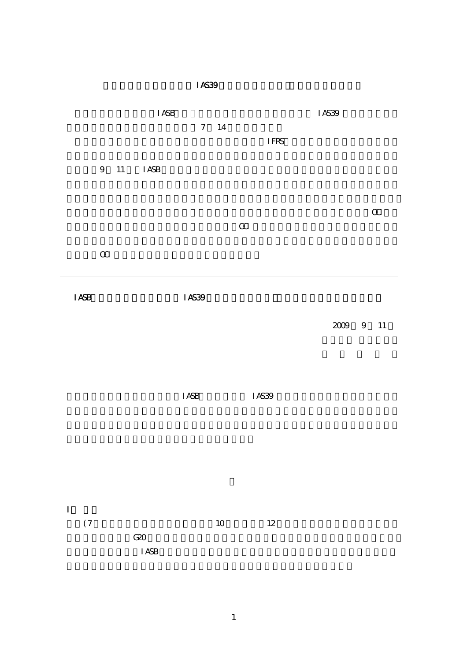| IAS39                   |                                |                                 |                |                              |          |                                      |  |  |  |
|-------------------------|--------------------------------|---------------------------------|----------------|------------------------------|----------|--------------------------------------|--|--|--|
|                         |                                | $\rm I$ ASB<br>$\boldsymbol{7}$ | 14             | $\ensuremath{\mathsf{IFRS}}$ | IAS39    |                                      |  |  |  |
| $\boldsymbol{9}$        | 11<br><b>I ASB</b>             |                                 |                |                              |          |                                      |  |  |  |
|                         |                                |                                 | $\mbox{\bf m}$ |                              |          | $\hbox{I\hskip -2pt C\hskip -2pt I}$ |  |  |  |
|                         | $\, \alpha$                    |                                 |                |                              |          |                                      |  |  |  |
| ${\bf I}$ ASB           |                                | IAS39                           |                |                              |          |                                      |  |  |  |
|                         |                                |                                 |                |                              | $2009\,$ | 9 11                                 |  |  |  |
|                         |                                | $\rm I$ ASB                     |                | $\rm I$ AS39                 |          |                                      |  |  |  |
| $\mathbf I$<br>$(\,7\,$ | ${\rm G\!2\!O}$<br>$\rm I$ ASB |                                 | $10\,$         | $12\,$                       |          |                                      |  |  |  |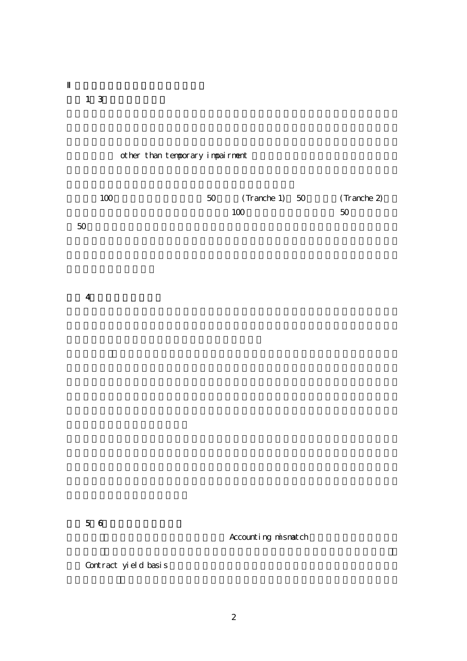質問 1~3:分類アプローチ

# other than temporary impairment

| 100 | 50 | $(Tranche 1) 50$ $(Tranche 2)$ |    |
|-----|----|--------------------------------|----|
|     |    | 100                            | 50 |

 $50$ 

質問 4:組込デリバティブ

質問 5~6:公正価値オプション

Accounting mismatch

Contract yield basis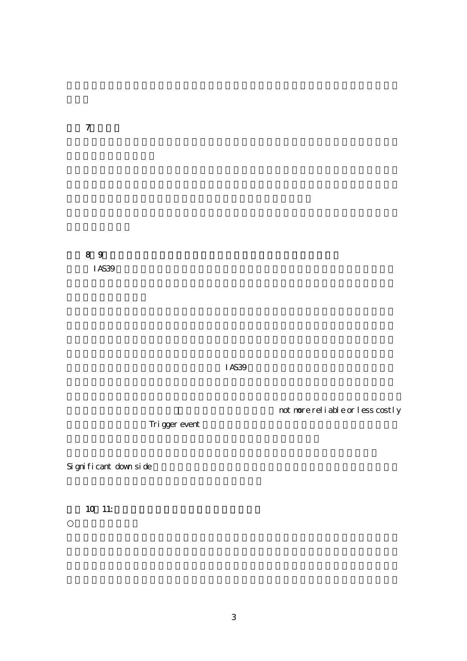質問 7:再分類

 $8<sub>9</sub>$  $I$ AS39  $I$ 

 $IAS39$ 

not nore reliable or less costly

Trigger event

Significant down side

10 11: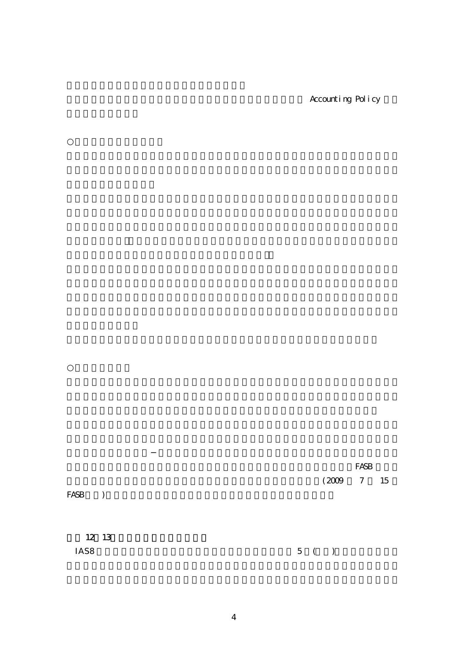Accounting Policy

 $\rm FASB$  $(2009 \t 7 \t 15)$  $FASB$  ) 質問 12~13:適用開始日及び経過措置 IAS8  $5 (1)$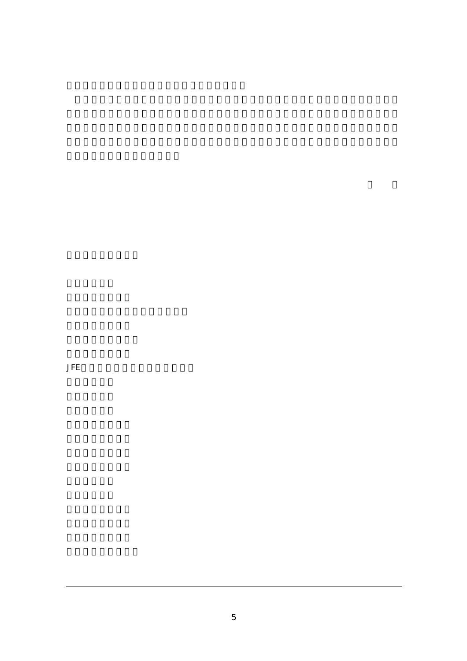**JFE**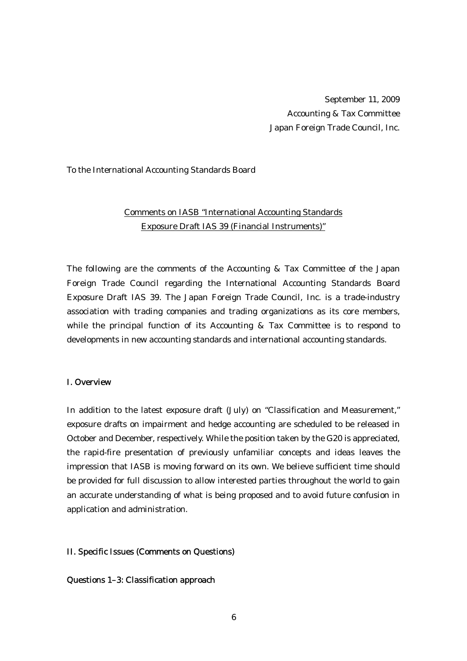September 11, 2009 Accounting & Tax Committee Japan Foreign Trade Council, Inc.

#### To the International Accounting Standards Board

# Comments on IASB "International Accounting Standards Exposure Draft IAS 39 (Financial Instruments)"

The following are the comments of the Accounting & Tax Committee of the Japan Foreign Trade Council regarding the International Accounting Standards Board Exposure Draft IAS 39. The Japan Foreign Trade Council, Inc. is a trade-industry association with trading companies and trading organizations as its core members, while the principal function of its Accounting  $\&$  Tax Committee is to respond to developments in new accounting standards and international accounting standards.

### I. Overview

In addition to the latest exposure draft (July) on "Classification and Measurement," exposure drafts on impairment and hedge accounting are scheduled to be released in October and December, respectively. While the position taken by the G20 is appreciated, the rapid-fire presentation of previously unfamiliar concepts and ideas leaves the impression that IASB is moving forward on its own. We believe sufficient time should be provided for full discussion to allow interested parties throughout the world to gain an accurate understanding of what is being proposed and to avoid future confusion in application and administration.

#### II. Specific Issues (Comments on Questions)

Questions 1–3: Classification approach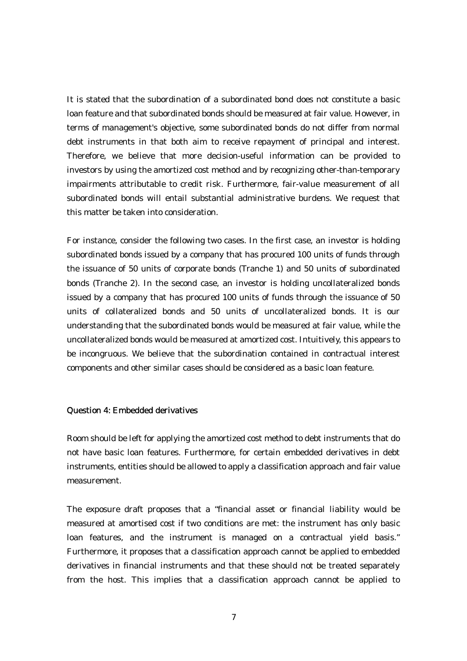It is stated that the subordination of a subordinated bond does not constitute a basic loan feature and that subordinated bonds should be measured at fair value. However, in terms of management's objective, some subordinated bonds do not differ from normal debt instruments in that both aim to receive repayment of principal and interest. Therefore, we believe that more decision-useful information can be provided to investors by using the amortized cost method and by recognizing other-than-temporary impairments attributable to credit risk. Furthermore, fair-value measurement of all subordinated bonds will entail substantial administrative burdens. We request that this matter be taken into consideration.

For instance, consider the following two cases. In the first case, an investor is holding subordinated bonds issued by a company that has procured 100 units of funds through the issuance of 50 units of corporate bonds (Tranche 1) and 50 units of subordinated bonds (Tranche 2). In the second case, an investor is holding uncollateralized bonds issued by a company that has procured 100 units of funds through the issuance of 50 units of collateralized bonds and 50 units of uncollateralized bonds. It is our understanding that the subordinated bonds would be measured at fair value, while the uncollateralized bonds would be measured at amortized cost. Intuitively, this appears to be incongruous. We believe that the subordination contained in contractual interest components and other similar cases should be considered as a basic loan feature.

## Question 4: Embedded derivatives

Room should be left for applying the amortized cost method to debt instruments that do not have basic loan features. Furthermore, for certain embedded derivatives in debt instruments, entities should be allowed to apply a classification approach and fair value measurement.

The exposure draft proposes that a "financial asset or financial liability would be measured at amortised cost if two conditions are met: the instrument has only basic loan features, and the instrument is managed on a contractual yield basis." Furthermore, it proposes that a classification approach cannot be applied to embedded derivatives in financial instruments and that these should not be treated separately from the host. This implies that a classification approach cannot be applied to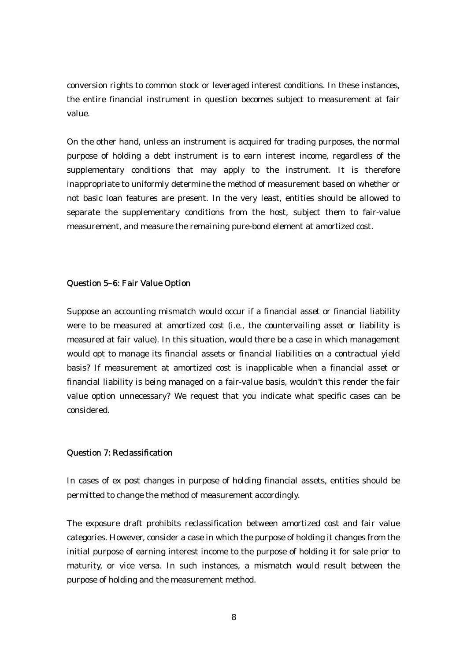conversion rights to common stock or leveraged interest conditions. In these instances, the entire financial instrument in question becomes subject to measurement at fair value.

On the other hand, unless an instrument is acquired for trading purposes, the normal purpose of holding a debt instrument is to earn interest income, regardless of the supplementary conditions that may apply to the instrument. It is therefore inappropriate to uniformly determine the method of measurement based on whether or not basic loan features are present. In the very least, entities should be allowed to separate the supplementary conditions from the host, subject them to fair-value measurement, and measure the remaining pure-bond element at amortized cost.

#### Question 5–6: Fair Value Option

Suppose an accounting mismatch would occur if a financial asset or financial liability were to be measured at amortized cost (i.e., the countervailing asset or liability is measured at fair value). In this situation, would there be a case in which management would opt to manage its financial assets or financial liabilities on a contractual yield basis? If measurement at amortized cost is inapplicable when a financial asset or financial liability is being managed on a fair-value basis, wouldn't this render the fair value option unnecessary? We request that you indicate what specific cases can be considered.

### Question 7: Reclassification

In cases of ex post changes in purpose of holding financial assets, entities should be permitted to change the method of measurement accordingly.

The exposure draft prohibits reclassification between amortized cost and fair value categories. However, consider a case in which the purpose of holding it changes from the initial purpose of earning interest income to the purpose of holding it for sale prior to maturity, or vice versa. In such instances, a mismatch would result between the purpose of holding and the measurement method.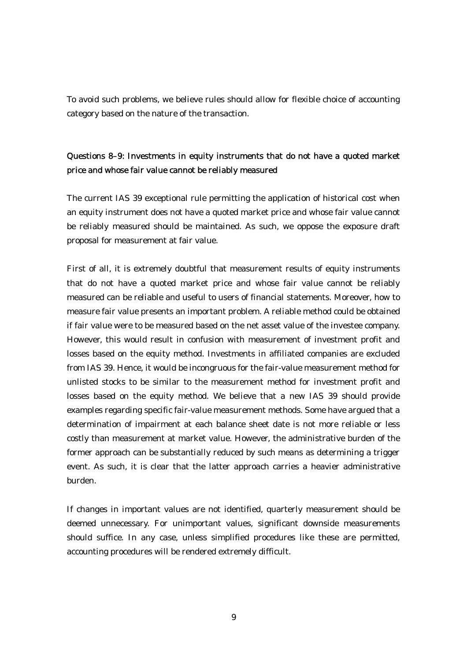To avoid such problems, we believe rules should allow for flexible choice of accounting category based on the nature of the transaction.

# Questions 8–9: Investments in equity instruments that do not have a quoted market price and whose fair value cannot be reliably measured

The current IAS 39 exceptional rule permitting the application of historical cost when an equity instrument does not have a quoted market price and whose fair value cannot be reliably measured should be maintained. As such, we oppose the exposure draft proposal for measurement at fair value.

First of all, it is extremely doubtful that measurement results of equity instruments that do not have a quoted market price and whose fair value cannot be reliably measured can be reliable and useful to users of financial statements. Moreover, how to measure fair value presents an important problem. A reliable method could be obtained if fair value were to be measured based on the net asset value of the investee company. However, this would result in confusion with measurement of investment profit and losses based on the equity method. Investments in affiliated companies are excluded from IAS 39. Hence, it would be incongruous for the fair-value measurement method for unlisted stocks to be similar to the measurement method for investment profit and losses based on the equity method. We believe that a new IAS 39 should provide examples regarding specific fair-value measurement methods. Some have argued that a determination of impairment at each balance sheet date is not more reliable or less costly than measurement at market value. However, the administrative burden of the former approach can be substantially reduced by such means as determining a trigger event. As such, it is clear that the latter approach carries a heavier administrative burden.

If changes in important values are not identified, quarterly measurement should be deemed unnecessary. For unimportant values, significant downside measurements should suffice. In any case, unless simplified procedures like these are permitted, accounting procedures will be rendered extremely difficult.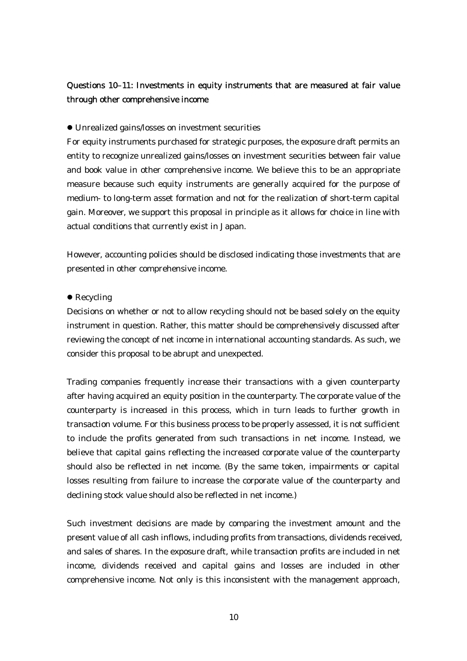# Questions 10–11: Investments in equity instruments that are measured at fair value through other comprehensive income

### $\bullet$  Unrealized gains/losses on investment securities

For equity instruments purchased for strategic purposes, the exposure draft permits an entity to recognize unrealized gains/losses on investment securities between fair value and book value in other comprehensive income. We believe this to be an appropriate measure because such equity instruments are generally acquired for the purpose of medium- to long-term asset formation and not for the realization of short-term capital gain. Moreover, we support this proposal in principle as it allows for choice in line with actual conditions that currently exist in Japan.

However, accounting policies should be disclosed indicating those investments that are presented in other comprehensive income.

#### $\bullet$  Recycling

Decisions on whether or not to allow recycling should not be based solely on the equity instrument in question. Rather, this matter should be comprehensively discussed after reviewing the concept of net income in international accounting standards. As such, we consider this proposal to be abrupt and unexpected.

Trading companies frequently increase their transactions with a given counterparty after having acquired an equity position in the counterparty. The corporate value of the counterparty is increased in this process, which in turn leads to further growth in transaction volume. For this business process to be properly assessed, it is not sufficient to include the profits generated from such transactions in net income. Instead, we believe that capital gains reflecting the increased corporate value of the counterparty should also be reflected in net income. (By the same token, impairments or capital losses resulting from failure to increase the corporate value of the counterparty and declining stock value should also be reflected in net income.)

Such investment decisions are made by comparing the investment amount and the present value of all cash inflows, including profits from transactions, dividends received, and sales of shares. In the exposure draft, while transaction profits are included in net income, dividends received and capital gains and losses are included in other comprehensive income. Not only is this inconsistent with the management approach,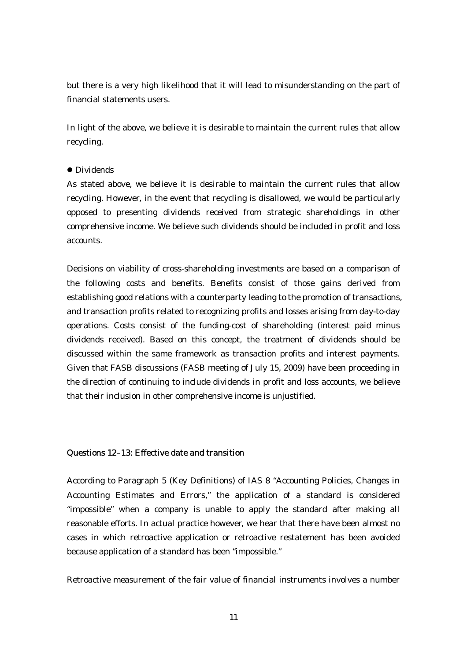but there is a very high likelihood that it will lead to misunderstanding on the part of financial statements users.

In light of the above, we believe it is desirable to maintain the current rules that allow recycling.

### **•** Dividends

As stated above, we believe it is desirable to maintain the current rules that allow recycling. However, in the event that recycling is disallowed, we would be particularly opposed to presenting dividends received from strategic shareholdings in other comprehensive income. We believe such dividends should be included in profit and loss accounts.

Decisions on viability of cross-shareholding investments are based on a comparison of the following costs and benefits. Benefits consist of those gains derived from establishing good relations with a counterparty leading to the promotion of transactions, and transaction profits related to recognizing profits and losses arising from day-to-day operations. Costs consist of the funding-cost of shareholding (interest paid minus dividends received). Based on this concept, the treatment of dividends should be discussed within the same framework as transaction profits and interest payments. Given that FASB discussions (FASB meeting of July 15, 2009) have been proceeding in the direction of continuing to include dividends in profit and loss accounts, we believe that their inclusion in other comprehensive income is unjustified.

### Questions 12–13: Effective date and transition

According to Paragraph 5 (Key Definitions) of IAS 8 "Accounting Policies, Changes in Accounting Estimates and Errors," the application of a standard is considered "impossible" when a company is unable to apply the standard after making all reasonable efforts. In actual practice however, we hear that there have been almost no cases in which retroactive application or retroactive restatement has been avoided because application of a standard has been "impossible."

Retroactive measurement of the fair value of financial instruments involves a number